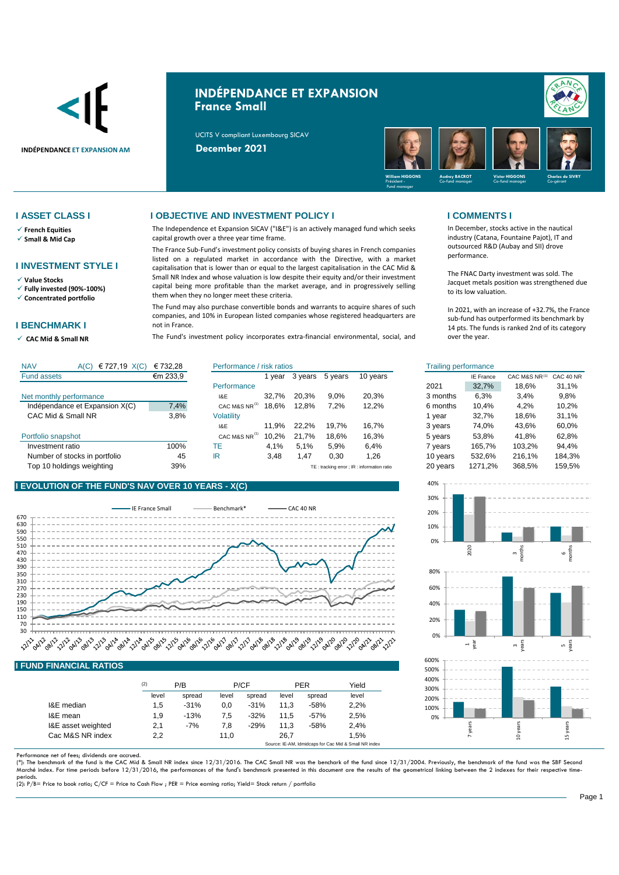

# **INDÉPENDANCE ET EXPANSION France Small**

UCITS V compliant Luxembourg SICAV



- ✓ **French Equities**
- ✓ **Small & Mid Cap**

### **I INVESTMENT STYLE I**

- ✓ **Value Stocks**
- ✓ **Fully invested (90%-100%)** ✓ **Concentrated portfolio**
- 

## **I BENCHMARK I**

✓ **CAC Mid & Small NR** 

### **I ASSET CLASS I I OBJECTIVE AND INVESTMENT POLICY I I COMMENTS I**

The Independence et Expansion SICAV ("I&E") is an actively managed fund which seeks capital growth over a three year time frame.

The France Sub-Fund's investment policy consists of buying shares in French companies listed on a regulated market in accordance with the Directive, with a market capitalisation that is lower than or equal to the largest capitalisation in the CAC Mid & Small NR Index and whose valuation is low despite their equity and/or their investment capital being more profitable than the market average, and in progressively selling them when they no longer meet these criteria.

The Fund may also purchase convertible bonds and warrants to acquire shares of such companies, and 10% in European listed companies whose registered headquarters are not in France.

The Fund's investment policy incorporates extra-financial environmental, social, and

In December, stocks active in the nautical industry (Catana, Fountaine Pajot), IT and outsourced R&D (Aubay and SII) drove performance.

The FNAC Darty investment was sold. The Jacquet metals position was strengthened due to its low valuation.

In 2021, with an increase of +32.7%, the France sub-fund has outperformed its benchmark by 14 pts. The funds is ranked 2nd of its category over the year.

| <b>NAV</b><br>€ 727,19 $X(C)$<br>A(C) | € 732.28 | Performance / risk ratios |       |         |         |                                            | <b>Trailing performance</b> |                  |               |           |
|---------------------------------------|----------|---------------------------|-------|---------|---------|--------------------------------------------|-----------------------------|------------------|---------------|-----------|
| <b>Fund assets</b>                    | €m 233,9 |                           | vear  | 3 years | 5 years | 10 years                                   |                             | <b>IE France</b> | CAC M&S NR(1) | CAC 40 NR |
|                                       |          | Performance               |       |         |         |                                            | 2021                        | 32.7%            | 18.6%         | 31,1%     |
| Net monthly performance               |          | I&E                       | 32.7% | 20.3%   | 9,0%    | 20.3%                                      | 3 months                    | 6,3%             | 3,4%          | 9,8%      |
| Indépendance et Expansion X(C)        | 7,4%     | CAC M&S NR                | 18.6% | 12,8%   | 7,2%    | 12,2%                                      | 6 months                    | 10.4%            | 4,2%          | 10,2%     |
| CAC Mid & Small NR                    | 3,8%     | <b>Volatility</b>         |       |         |         |                                            | vear                        | 32.7%            | 18.6%         | 31,1%     |
|                                       |          | I&E                       | 11.9% | 22.2%   | 19.7%   | 16.7%                                      | 3 years                     | 74.0%            | 43.6%         | 60,0%     |
| Portfolio snapshot                    |          | CAC M&S NR <sup>(1)</sup> | 10.2% | 21.7%   | 18.6%   | 16,3%                                      | 5 years                     | 53.8%            | 41.8%         | 62,8%     |
| Investment ratio                      | 100%     | ТE                        | 4.1%  | 5.1%    | 5.9%    | 6,4%                                       | 7 vears                     | 165.7%           | 103.2%        | 94,4%     |
| Number of stocks in portfolio         | 45       | IR                        | 3,48  | l.47    | 0.30    | 1.26                                       | 10 years                    | 532.6%           | 216.1%        | 184,3%    |
| Top 10 holdings weighting             | 39%      |                           |       |         |         | TE: tracking error ; IR: information ratio | 20 years                    | 1271,2%          | 368.5%        | 159.5%    |

## **I EVOLUTION OF THE FUND'S NAV OVER 10 YEARS - X(C)**



## **I FUND FINANCIAL RATIOS**

|                    | (2)   | P/B    | P/CF  |        | <b>PER</b> |        | Yield |
|--------------------|-------|--------|-------|--------|------------|--------|-------|
|                    | level | spread | level | spread | level      | spread | level |
| I&E median         | 1,5   | $-31%$ | 0.0   | $-31%$ | 11.3       | $-58%$ | 2.2%  |
| I&E mean           | 1.9   | $-13%$ | 7.5   | $-32%$ | 11.5       | $-57%$ | 2.5%  |
| I&E asset weighted | 2,1   | $-7%$  | 7.8   | $-29%$ | 11.3       | $-58%$ | 2.4%  |
| Cac M&S NR index   | 2.2   |        | 11.0  |        | 26.7       |        | 1.5%  |

Performance net of fees; dividends are accrued.<br>(\*): The benchmark of the fund is the CAC Mid & Small NR index since 12/31/2016. The CAC Small NR was the benchark of the fund since 12/31/2004. Previously, the benchmark of Marché index. For time periods before 12/31/2016, the performances of the fund's benchmark presented in this document are the results of the geometrical linking between the 2 indexes for their respective timeperiods. (2): P/B= Price to book ratio; C/CF = Price to Cash Flow ; PER = Price earning ratio; Yield= Stock return / portfolio

## Trailing performance 3 years 2021 32,7% 18,6% 31,1% 9,8% 3 months 6,3% 3,4% 60,0% 10,2% 21,7% 18,6% 16,3% 53,8% 41,8% 62,8% 103,2% 94,4% CAC M&S NR<sup>(1)</sup>